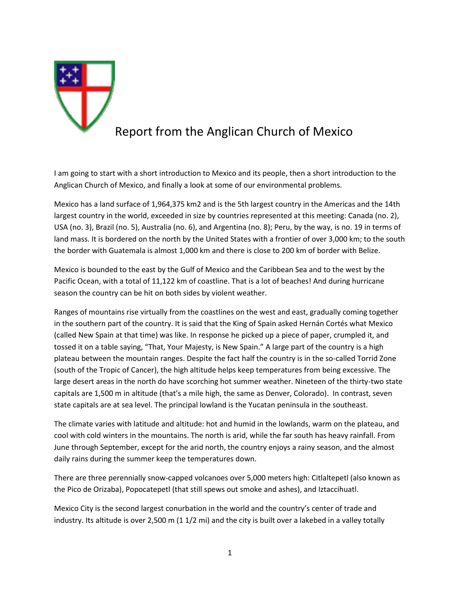

I am going to start with a short introduction to Mexico and its people, then a short introduction to the Anglican Church of Mexico, and finally a look at some of our environmental problems.

Mexico has a land surface of 1,964,375 km2 and is the 5th largest country in the Americas and the 14th largest country in the world, exceeded in size by countries represented at this meeting: Canada (no. 2), USA (no. 3), Brazil (no. 5), Australia (no. 6), and Argentina (no. 8); Peru, by the way, is no. 19 in terms of land mass. It is bordered on the north by the United States with a frontier of over 3,000 km; to the south the border with Guatemala is almost 1,000 km and there is close to 200 km of border with Belize.

Mexico is bounded to the east by the Gulf of Mexico and the Caribbean Sea and to the west by the Pacific Ocean, with a total of 11,122 km of coastline. That is a lot of beaches! And during hurricane season the country can be hit on both sides by violent weather.

Ranges of mountains rise virtually from the coastlines on the west and east, gradually coming together in the southern part of the country. It is said that the King of Spain asked Hernán Cortés what Mexico (called New Spain at that time) was like. In response he picked up a piece of paper, crumpled it, and tossed it on a table saying, "That, Your Majesty, is New Spain." A large part of the country is a high plateau between the mountain ranges. Despite the fact half the country is in the so-called Torrid Zone (south of the Tropic of Cancer), the high altitude helps keep temperatures from being excessive. The large desert areas in the north do have scorching hot summer weather. Nineteen of the thirty-two state capitals are 1,500 m in altitude (that's a mile high, the same as Denver, Colorado). In contrast, seven state capitals are at sea level. The principal lowland is the Yucatan peninsula in the southeast.

The climate varies with latitude and altitude: hot and humid in the lowlands, warm on the plateau, and cool with cold winters in the mountains. The north is arid, while the far south has heavy rainfall. From June through September, except for the arid north, the country enjoys a rainy season, and the almost daily rains during the summer keep the temperatures down.

There are three perennially snow-capped volcanoes over 5,000 meters high: Citlaltepetl (also known as the Pico de Orizaba), Popocatepetl (that still spews out smoke and ashes), and Iztaccihuatl.

Mexico City is the second largest conurbation in the world and the country's center of trade and industry. Its altitude is over 2,500 m (1 1/2 mi) and the city is built over a lakebed in a valley totally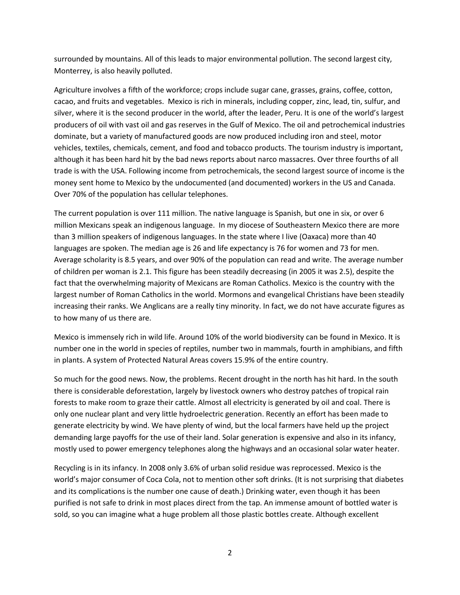surrounded by mountains. All of this leads to major environmental pollution. The second largest city, Monterrey, is also heavily polluted.

Agriculture involves a fifth of the workforce; crops include sugar cane, grasses, grains, coffee, cotton, cacao, and fruits and vegetables. Mexico is rich in minerals, including copper, zinc, lead, tin, sulfur, and silver, where it is the second producer in the world, after the leader, Peru. It is one of the world's largest producers of oil with vast oil and gas reserves in the Gulf of Mexico. The oil and petrochemical industries dominate, but a variety of manufactured goods are now produced including iron and steel, motor vehicles, textiles, chemicals, cement, and food and tobacco products. The tourism industry is important, although it has been hard hit by the bad news reports about narco massacres. Over three fourths of all trade is with the USA. Following income from petrochemicals, the second largest source of income is the money sent home to Mexico by the undocumented (and documented) workers in the US and Canada. Over 70% of the population has cellular telephones.

The current population is over 111 million. The native language is Spanish, but one in six, or over 6 million Mexicans speak an indigenous language. In my diocese of Southeastern Mexico there are more than 3 million speakers of indigenous languages. In the state where I live (Oaxaca) more than 40 languages are spoken. The median age is 26 and life expectancy is 76 for women and 73 for men. Average scholarity is 8.5 years, and over 90% of the population can read and write. The average number of children per woman is 2.1. This figure has been steadily decreasing (in 2005 it was 2.5), despite the fact that the overwhelming majority of Mexicans are Roman Catholics. Mexico is the country with the largest number of Roman Catholics in the world. Mormons and evangelical Christians have been steadily increasing their ranks. We Anglicans are a really tiny minority. In fact, we do not have accurate figures as to how many of us there are.

Mexico is immensely rich in wild life. Around 10% of the world biodiversity can be found in Mexico. It is number one in the world in species of reptiles, number two in mammals, fourth in amphibians, and fifth in plants. A system of Protected Natural Areas covers 15.9% of the entire country.

So much for the good news. Now, the problems. Recent drought in the north has hit hard. In the south there is considerable deforestation, largely by livestock owners who destroy patches of tropical rain forests to make room to graze their cattle. Almost all electricity is generated by oil and coal. There is only one nuclear plant and very little hydroelectric generation. Recently an effort has been made to generate electricity by wind. We have plenty of wind, but the local farmers have held up the project demanding large payoffs for the use of their land. Solar generation is expensive and also in its infancy, mostly used to power emergency telephones along the highways and an occasional solar water heater.

Recycling is in its infancy. In 2008 only 3.6% of urban solid residue was reprocessed. Mexico is the world's major consumer of Coca Cola, not to mention other soft drinks. (It is not surprising that diabetes and its complications is the number one cause of death.) Drinking water, even though it has been purified is not safe to drink in most places direct from the tap. An immense amount of bottled water is sold, so you can imagine what a huge problem all those plastic bottles create. Although excellent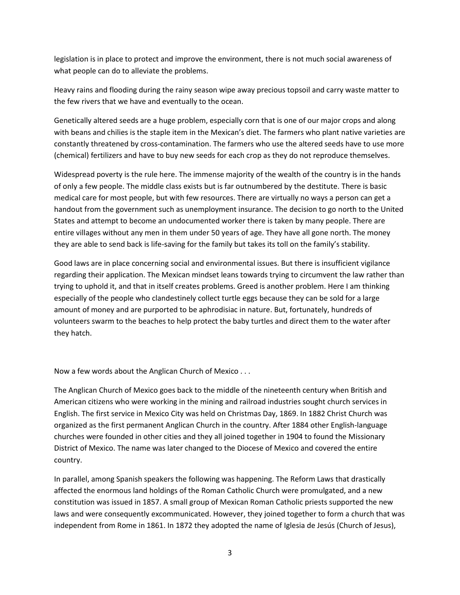legislation is in place to protect and improve the environment, there is not much social awareness of what people can do to alleviate the problems.

Heavy rains and flooding during the rainy season wipe away precious topsoil and carry waste matter to the few rivers that we have and eventually to the ocean.

Genetically altered seeds are a huge problem, especially corn that is one of our major crops and along with beans and chilies is the staple item in the Mexican's diet. The farmers who plant native varieties are constantly threatened by cross-contamination. The farmers who use the altered seeds have to use more (chemical) fertilizers and have to buy new seeds for each crop as they do not reproduce themselves.

Widespread poverty is the rule here. The immense majority of the wealth of the country is in the hands of only a few people. The middle class exists but is far outnumbered by the destitute. There is basic medical care for most people, but with few resources. There are virtually no ways a person can get a handout from the government such as unemployment insurance. The decision to go north to the United States and attempt to become an undocumented worker there is taken by many people. There are entire villages without any men in them under 50 years of age. They have all gone north. The money they are able to send back is life-saving for the family but takes its toll on the family's stability.

Good laws are in place concerning social and environmental issues. But there is insufficient vigilance regarding their application. The Mexican mindset leans towards trying to circumvent the law rather than trying to uphold it, and that in itself creates problems. Greed is another problem. Here I am thinking especially of the people who clandestinely collect turtle eggs because they can be sold for a large amount of money and are purported to be aphrodisiac in nature. But, fortunately, hundreds of volunteers swarm to the beaches to help protect the baby turtles and direct them to the water after they hatch.

Now a few words about the Anglican Church of Mexico . . .

The Anglican Church of Mexico goes back to the middle of the nineteenth century when British and American citizens who were working in the mining and railroad industries sought church services in English. The first service in Mexico City was held on Christmas Day, 1869. In 1882 Christ Church was organized as the first permanent Anglican Church in the country. After 1884 other English-language churches were founded in other cities and they all joined together in 1904 to found the Missionary District of Mexico. The name was later changed to the Diocese of Mexico and covered the entire country.

In parallel, among Spanish speakers the following was happening. The Reform Laws that drastically affected the enormous land holdings of the Roman Catholic Church were promulgated, and a new constitution was issued in 1857. A small group of Mexican Roman Catholic priests supported the new laws and were consequently excommunicated. However, they joined together to form a church that was independent from Rome in 1861. In 1872 they adopted the name of Iglesia de Jesús (Church of Jesus),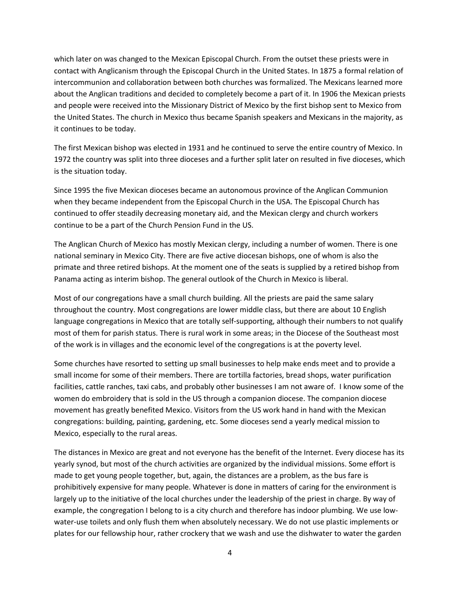which later on was changed to the Mexican Episcopal Church. From the outset these priests were in contact with Anglicanism through the Episcopal Church in the United States. In 1875 a formal relation of intercommunion and collaboration between both churches was formalized. The Mexicans learned more about the Anglican traditions and decided to completely become a part of it. In 1906 the Mexican priests and people were received into the Missionary District of Mexico by the first bishop sent to Mexico from the United States. The church in Mexico thus became Spanish speakers and Mexicans in the majority, as it continues to be today.

The first Mexican bishop was elected in 1931 and he continued to serve the entire country of Mexico. In 1972 the country was split into three dioceses and a further split later on resulted in five dioceses, which is the situation today.

Since 1995 the five Mexican dioceses became an autonomous province of the Anglican Communion when they became independent from the Episcopal Church in the USA. The Episcopal Church has continued to offer steadily decreasing monetary aid, and the Mexican clergy and church workers continue to be a part of the Church Pension Fund in the US.

The Anglican Church of Mexico has mostly Mexican clergy, including a number of women. There is one national seminary in Mexico City. There are five active diocesan bishops, one of whom is also the primate and three retired bishops. At the moment one of the seats is supplied by a retired bishop from Panama acting as interim bishop. The general outlook of the Church in Mexico is liberal.

Most of our congregations have a small church building. All the priests are paid the same salary throughout the country. Most congregations are lower middle class, but there are about 10 English language congregations in Mexico that are totally self-supporting, although their numbers to not qualify most of them for parish status. There is rural work in some areas; in the Diocese of the Southeast most of the work is in villages and the economic level of the congregations is at the poverty level.

Some churches have resorted to setting up small businesses to help make ends meet and to provide a small income for some of their members. There are tortilla factories, bread shops, water purification facilities, cattle ranches, taxi cabs, and probably other businesses I am not aware of. I know some of the women do embroidery that is sold in the US through a companion diocese. The companion diocese movement has greatly benefited Mexico. Visitors from the US work hand in hand with the Mexican congregations: building, painting, gardening, etc. Some dioceses send a yearly medical mission to Mexico, especially to the rural areas.

The distances in Mexico are great and not everyone has the benefit of the Internet. Every diocese has its yearly synod, but most of the church activities are organized by the individual missions. Some effort is made to get young people together, but, again, the distances are a problem, as the bus fare is prohibitively expensive for many people. Whatever is done in matters of caring for the environment is largely up to the initiative of the local churches under the leadership of the priest in charge. By way of example, the congregation I belong to is a city church and therefore has indoor plumbing. We use lowwater-use toilets and only flush them when absolutely necessary. We do not use plastic implements or plates for our fellowship hour, rather crockery that we wash and use the dishwater to water the garden